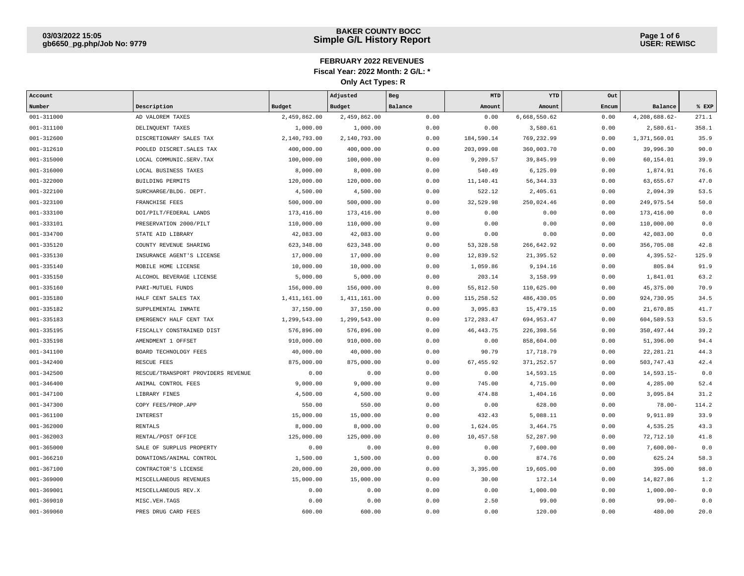| Account        |                                    |              | Adjusted      | Beg     | MTD         | YTD          | Out   |               |       |
|----------------|------------------------------------|--------------|---------------|---------|-------------|--------------|-------|---------------|-------|
| Number         | Description                        | Budget       | <b>Budget</b> | Balance | Amount      | Amount       | Encum | Balance       | % EXP |
| 001-311000     | AD VALOREM TAXES                   | 2,459,862.00 | 2,459,862.00  | 0.00    | 0.00        | 6,668,550.62 | 0.00  | 4,208,688.62- | 271.1 |
| 001-311100     | DELINQUENT TAXES                   | 1,000.00     | 1,000.00      | 0.00    | 0.00        | 3,580.61     | 0.00  | $2,580.61-$   | 358.1 |
| $001 - 312600$ | DISCRETIONARY SALES TAX            | 2,140,793.00 | 2,140,793.00  | 0.00    | 184,590.14  | 769,232.99   | 0.00  | 1,371,560.01  | 35.9  |
| $001 - 312610$ | POOLED DISCRET. SALES TAX          | 400,000.00   | 400,000.00    | 0.00    | 203,099.08  | 360,003.70   | 0.00  | 39,996.30     | 90.0  |
| $001 - 315000$ | LOCAL COMMUNIC.SERV.TAX            | 100,000.00   | 100,000.00    | 0.00    | 9,209.57    | 39,845.99    | 0.00  | 60,154.01     | 39.9  |
| 001-316000     | LOCAL BUSINESS TAXES               | 8,000.00     | 8,000.00      | 0.00    | 540.49      | 6,125.09     | 0.00  | 1,874.91      | 76.6  |
| $001 - 322000$ | BUILDING PERMITS                   | 120,000.00   | 120,000.00    | 0.00    | 11,140.41   | 56, 344.33   | 0.00  | 63,655.67     | 47.0  |
| 001-322100     | SURCHARGE/BLDG. DEPT.              | 4,500.00     | 4,500.00      | 0.00    | 522.12      | 2,405.61     | 0.00  | 2,094.39      | 53.5  |
| 001-323100     | FRANCHISE FEES                     | 500,000.00   | 500,000.00    | 0.00    | 32,529.98   | 250,024.46   | 0.00  | 249,975.54    | 50.0  |
| 001-333100     | DOI/PILT/FEDERAL LANDS             | 173,416.00   | 173,416.00    | 0.00    | 0.00        | 0.00         | 0.00  | 173,416.00    | 0.0   |
| 001-333101     | PRESERVATION 2000/PILT             | 110,000.00   | 110,000.00    | 0.00    | 0.00        | 0.00         | 0.00  | 110,000.00    | 0.0   |
| $001 - 334700$ | STATE AID LIBRARY                  | 42,083.00    | 42,083.00     | 0.00    | 0.00        | 0.00         | 0.00  | 42,083.00     | 0.0   |
| 001-335120     | COUNTY REVENUE SHARING             | 623, 348.00  | 623, 348.00   | 0.00    | 53, 328.58  | 266,642.92   | 0.00  | 356,705.08    | 42.8  |
| 001-335130     | INSURANCE AGENT'S LICENSE          | 17,000.00    | 17,000.00     | 0.00    | 12,839.52   | 21,395.52    | 0.00  | $4,395.52-$   | 125.9 |
| $001 - 335140$ | MOBILE HOME LICENSE                | 10,000.00    | 10,000.00     | 0.00    | 1,059.86    | 9,194.16     | 0.00  | 805.84        | 91.9  |
| 001-335150     | ALCOHOL BEVERAGE LICENSE           | 5,000.00     | 5,000.00      | 0.00    | 203.14      | 3,158.99     | 0.00  | 1,841.01      | 63.2  |
| $001 - 335160$ | PARI-MUTUEL FUNDS                  | 156,000.00   | 156,000.00    | 0.00    | 55,812.50   | 110,625.00   | 0.00  | 45, 375.00    | 70.9  |
| $001 - 335180$ | HALF CENT SALES TAX                | 1,411,161.00 | 1,411,161.00  | 0.00    | 115,258.52  | 486,430.05   | 0.00  | 924,730.95    | 34.5  |
| 001-335182     | SUPPLEMENTAL INMATE                | 37,150.00    | 37,150.00     | 0.00    | 3,095.83    | 15,479.15    | 0.00  | 21,670.85     | 41.7  |
| 001-335183     | EMERGENCY HALF CENT TAX            | 1,299,543.00 | 1,299,543.00  | 0.00    | 172, 283.47 | 694,953.47   | 0.00  | 604,589.53    | 53.5  |
| 001-335195     | FISCALLY CONSTRAINED DIST          | 576,896.00   | 576,896.00    | 0.00    | 46, 443. 75 | 226,398.56   | 0.00  | 350, 497.44   | 39.2  |
| 001-335198     | AMENDMENT 1 OFFSET                 | 910,000.00   | 910,000.00    | 0.00    | 0.00        | 858,604.00   | 0.00  | 51,396.00     | 94.4  |
| $001 - 341100$ | BOARD TECHNOLOGY FEES              | 40,000.00    | 40,000.00     | 0.00    | 90.79       | 17,718.79    | 0.00  | 22, 281.21    | 44.3  |
| $001 - 342400$ | RESCUE FEES                        | 875,000.00   | 875,000.00    | 0.00    | 67,455.92   | 371,252.57   | 0.00  | 503,747.43    | 42.4  |
| $001 - 342500$ | RESCUE/TRANSPORT PROVIDERS REVENUE | 0.00         | 0.00          | 0.00    | 0.00        | 14,593.15    | 0.00  | $14,593.15-$  | 0.0   |
| $001 - 346400$ | ANIMAL CONTROL FEES                | 9,000.00     | 9,000.00      | 0.00    | 745.00      | 4,715.00     | 0.00  | 4,285.00      | 52.4  |
| $001 - 347100$ | LIBRARY FINES                      | 4,500.00     | 4,500.00      | 0.00    | 474.88      | 1,404.16     | 0.00  | 3,095.84      | 31.2  |
| $001 - 347300$ | COPY FEES/PROP.APP                 | 550.00       | 550.00        | 0.00    | 0.00        | 628.00       | 0.00  | $78.00 -$     | 114.2 |
| 001-361100     | INTEREST                           | 15,000.00    | 15,000.00     | 0.00    | 432.43      | 5,088.11     | 0.00  | 9,911.89      | 33.9  |
| $001 - 362000$ | RENTALS                            | 8,000.00     | 8,000.00      | 0.00    | 1,624.05    | 3,464.75     | 0.00  | 4,535.25      | 43.3  |
| $001 - 362003$ | RENTAL/POST OFFICE                 | 125,000.00   | 125,000.00    | 0.00    | 10,457.58   | 52,287.90    | 0.00  | 72,712.10     | 41.8  |
| $001 - 365000$ | SALE OF SURPLUS PROPERTY           | 0.00         | 0.00          | 0.00    | 0.00        | 7,600.00     | 0.00  | $7,600.00-$   | 0.0   |
| 001-366210     | DONATIONS/ANIMAL CONTROL           | 1,500.00     | 1,500.00      | 0.00    | 0.00        | 874.76       | 0.00  | 625.24        | 58.3  |
| 001-367100     | CONTRACTOR'S LICENSE               | 20,000.00    | 20,000.00     | 0.00    | 3,395.00    | 19,605.00    | 0.00  | 395.00        | 98.0  |
| 001-369000     | MISCELLANEOUS REVENUES             | 15,000.00    | 15,000.00     | 0.00    | 30.00       | 172.14       | 0.00  | 14,827.86     | 1.2   |
| 001-369001     | MISCELLANEOUS REV.X                | 0.00         | 0.00          | 0.00    | 0.00        | 1,000.00     | 0.00  | $1,000.00-$   | 0.0   |
| 001-369010     | MISC. VEH. TAGS                    | 0.00         | 0.00          | 0.00    | 2.50        | 99.00        | 0.00  | $99.00 -$     | 0.0   |
| 001-369060     | PRES DRUG CARD FEES                | 600.00       | 600.00        | 0.00    | 0.00        | 120.00       | 0.00  | 480.00        | 20.0  |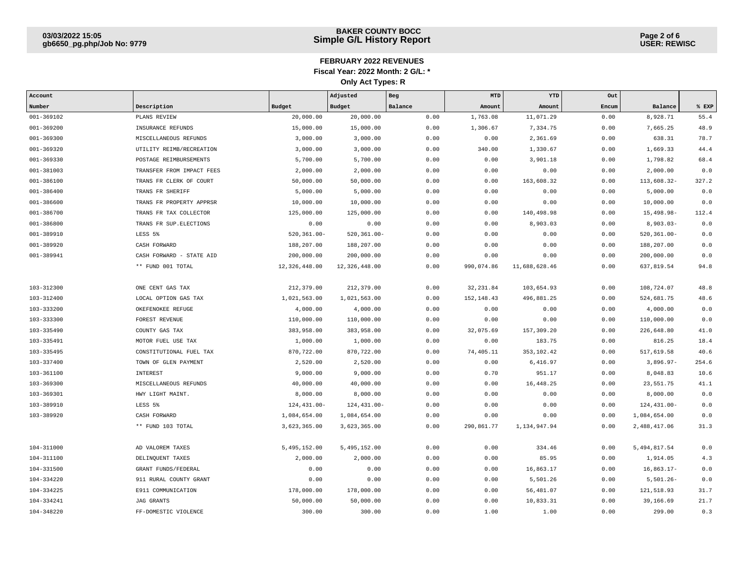| Account    |                           |                 | Adjusted        | Beg     | MTD        | YTD           | Out   |                 |       |
|------------|---------------------------|-----------------|-----------------|---------|------------|---------------|-------|-----------------|-------|
| Number     | Description               | Budget          | Budget          | Balance | Amount     | Amount        | Encum | Balance         | % EXP |
| 001-369102 | PLANS REVIEW              | 20,000.00       | 20,000.00       | 0.00    | 1,763.08   | 11,071.29     | 0.00  | 8,928.71        | 55.4  |
| 001-369200 | INSURANCE REFUNDS         | 15,000.00       | 15,000.00       | 0.00    | 1,306.67   | 7,334.75      | 0.00  | 7,665.25        | 48.9  |
| 001-369300 | MISCELLANEOUS REFUNDS     | 3,000.00        | 3,000.00        | 0.00    | 0.00       | 2,361.69      | 0.00  | 638.31          | 78.7  |
| 001-369320 | UTILITY REIMB/RECREATION  | 3,000.00        | 3,000.00        | 0.00    | 340.00     | 1,330.67      | 0.00  | 1,669.33        | 44.4  |
| 001-369330 | POSTAGE REIMBURSEMENTS    | 5,700.00        | 5,700.00        | 0.00    | 0.00       | 3,901.18      | 0.00  | 1,798.82        | 68.4  |
| 001-381003 | TRANSFER FROM IMPACT FEES | 2,000.00        | 2,000.00        | 0.00    | 0.00       | 0.00          | 0.00  | 2,000.00        | 0.0   |
| 001-386100 | TRANS FR CLERK OF COURT   | 50,000.00       | 50,000.00       | 0.00    | 0.00       | 163,608.32    | 0.00  | 113,608.32-     | 327.2 |
| 001-386400 | TRANS FR SHERIFF          | 5,000.00        | 5,000.00        | 0.00    | 0.00       | 0.00          | 0.00  | 5,000.00        | 0.0   |
| 001-386600 | TRANS FR PROPERTY APPRSR  | 10,000.00       | 10,000.00       | 0.00    | 0.00       | 0.00          | 0.00  | 10,000.00       | 0.0   |
| 001-386700 | TRANS FR TAX COLLECTOR    | 125,000.00      | 125,000.00      | 0.00    | 0.00       | 140,498.98    | 0.00  | 15,498.98-      | 112.4 |
| 001-386800 | TRANS FR SUP. ELECTIONS   | 0.00            | 0.00            | 0.00    | 0.00       | 8,903.03      | 0.00  | $8,903.03-$     | 0.0   |
| 001-389910 | LESS 5%                   | $520, 361.00 -$ | $520, 361.00 -$ | 0.00    | 0.00       | 0.00          | 0.00  | $520, 361.00 -$ | 0.0   |
| 001-389920 | CASH FORWARD              | 188,207.00      | 188,207.00      | 0.00    | 0.00       | 0.00          | 0.00  | 188,207.00      | 0.0   |
| 001-389941 | CASH FORWARD - STATE AID  | 200,000.00      | 200,000.00      | 0.00    | 0.00       | 0.00          | 0.00  | 200,000.00      | 0.0   |
|            | ** FUND 001 TOTAL         | 12, 326, 448.00 | 12,326,448.00   | 0.00    | 990,074.86 | 11,688,628.46 | 0.00  | 637,819.54      | 94.8  |
|            |                           |                 |                 |         |            |               |       |                 |       |
| 103-312300 | ONE CENT GAS TAX          | 212,379.00      | 212,379.00      | 0.00    | 32, 231.84 | 103,654.93    | 0.00  | 108,724.07      | 48.8  |
| 103-312400 | LOCAL OPTION GAS TAX      | 1,021,563.00    | 1,021,563.00    | 0.00    | 152,148.43 | 496,881.25    | 0.00  | 524,681.75      | 48.6  |
| 103-333200 | OKEFENOKEE REFUGE         | 4,000.00        | 4,000.00        | 0.00    | 0.00       | 0.00          | 0.00  | 4,000.00        | 0.0   |
| 103-333300 | FOREST REVENUE            | 110,000.00      | 110,000.00      | 0.00    | 0.00       | 0.00          | 0.00  | 110,000.00      | 0.0   |
| 103-335490 | COUNTY GAS TAX            | 383,958.00      | 383,958.00      | 0.00    | 32,075.69  | 157,309.20    | 0.00  | 226,648.80      | 41.0  |
| 103-335491 | MOTOR FUEL USE TAX        | 1,000.00        | 1,000.00        | 0.00    | 0.00       | 183.75        | 0.00  | 816.25          | 18.4  |
| 103-335495 | CONSTITUTIONAL FUEL TAX   | 870,722.00      | 870,722.00      | 0.00    | 74,405.11  | 353,102.42    | 0.00  | 517,619.58      | 40.6  |
| 103-337400 | TOWN OF GLEN PAYMENT      | 2,520.00        | 2,520.00        | 0.00    | 0.00       | 6,416.97      | 0.00  | $3,896.97-$     | 254.6 |
| 103-361100 | <b>INTEREST</b>           | 9,000.00        | 9,000.00        | 0.00    | 0.70       | 951.17        | 0.00  | 8,048.83        | 10.6  |
| 103-369300 | MISCELLANEOUS REFUNDS     | 40,000.00       | 40,000.00       | 0.00    | 0.00       | 16,448.25     | 0.00  | 23,551.75       | 41.1  |
| 103-369301 | HWY LIGHT MAINT.          | 8,000.00        | 8,000.00        | 0.00    | 0.00       | 0.00          | 0.00  | 8,000.00        | 0.0   |
| 103-389910 | LESS 5%                   | $124, 431.00 -$ | 124, 431.00-    | 0.00    | 0.00       | 0.00          | 0.00  | 124, 431.00-    | 0.0   |
| 103-389920 | CASH FORWARD              | 1,084,654.00    | 1,084,654.00    | 0.00    | 0.00       | 0.00          | 0.00  | 1,084,654.00    | 0.0   |
|            | ** FUND 103 TOTAL         | 3,623,365.00    | 3,623,365.00    | 0.00    | 290,861.77 | 1,134,947.94  | 0.00  | 2,488,417.06    | 31.3  |
|            |                           |                 |                 |         |            |               |       |                 |       |
| 104-311000 | AD VALOREM TAXES          | 5,495,152.00    | 5,495,152.00    | 0.00    | 0.00       | 334.46        | 0.00  | 5, 494, 817.54  | 0.0   |
| 104-311100 | DELINQUENT TAXES          | 2,000.00        | 2,000.00        | 0.00    | 0.00       | 85.95         | 0.00  | 1,914.05        | 4.3   |
| 104-331500 | GRANT FUNDS/FEDERAL       | 0.00            | 0.00            | 0.00    | 0.00       | 16,863.17     | 0.00  | $16,863.17-$    | 0.0   |
| 104-334220 | 911 RURAL COUNTY GRANT    | 0.00            | 0.00            | 0.00    | 0.00       | 5,501.26      | 0.00  | $5,501.26 -$    | 0.0   |
| 104-334225 | E911 COMMUNICATION        | 178,000.00      | 178,000.00      | 0.00    | 0.00       | 56,481.07     | 0.00  | 121,518.93      | 31.7  |
| 104-334241 | <b>JAG GRANTS</b>         | 50,000.00       | 50,000.00       | 0.00    | 0.00       | 10,833.31     | 0.00  | 39,166.69       | 21.7  |
| 104-348220 | FF-DOMESTIC VIOLENCE      | 300.00          | 300.00          | 0.00    | 1.00       | 1.00          | 0.00  | 299.00          | 0.3   |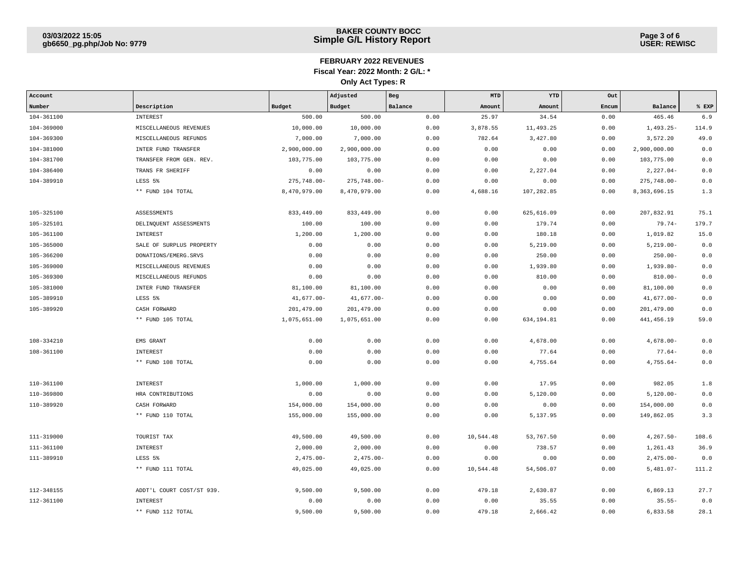| Account    |                           |                | Adjusted       | Beg     | MTD       | YTD        | Out   |                |       |
|------------|---------------------------|----------------|----------------|---------|-----------|------------|-------|----------------|-------|
| Number     | Description               | Budget         | Budget         | Balance | Amount    | Amount     | Encum | Balance        | % EXP |
| 104-361100 | INTEREST                  | 500.00         | 500.00         | 0.00    | 25.97     | 34.54      | 0.00  | 465.46         | 6.9   |
| 104-369000 | MISCELLANEOUS REVENUES    | 10,000.00      | 10,000.00      | 0.00    | 3,878.55  | 11,493.25  | 0.00  | $1,493.25-$    | 114.9 |
| 104-369300 | MISCELLANEOUS REFUNDS     | 7,000.00       | 7,000.00       | 0.00    | 782.64    | 3,427.80   | 0.00  | 3,572.20       | 49.0  |
| 104-381000 | INTER FUND TRANSFER       | 2,900,000.00   | 2,900,000.00   | 0.00    | 0.00      | 0.00       | 0.00  | 2,900,000.00   | 0.0   |
| 104-381700 | TRANSFER FROM GEN. REV.   | 103,775.00     | 103,775.00     | 0.00    | 0.00      | 0.00       | 0.00  | 103,775.00     | 0.0   |
| 104-386400 | TRANS FR SHERIFF          | 0.00           | 0.00           | 0.00    | 0.00      | 2,227.04   | 0.00  | $2,227.04-$    | 0.0   |
| 104-389910 | LESS 5%                   | $275,748.00 -$ | $275,748.00 -$ | 0.00    | 0.00      | 0.00       | 0.00  | $275,748.00 -$ | 0.0   |
|            | ** FUND 104 TOTAL         | 8,470,979.00   | 8,470,979.00   | 0.00    | 4,688.16  | 107,282.85 | 0.00  | 8,363,696.15   | 1.3   |
| 105-325100 | ASSESSMENTS               | 833, 449.00    | 833, 449.00    | 0.00    | 0.00      | 625,616.09 | 0.00  | 207,832.91     | 75.1  |
| 105-325101 | DELINQUENT ASSESSMENTS    | 100.00         | 100.00         | 0.00    | 0.00      | 179.74     | 0.00  | $79.74-$       | 179.7 |
| 105-361100 | INTEREST                  | 1,200.00       | 1,200.00       | 0.00    | 0.00      | 180.18     | 0.00  | 1,019.82       | 15.0  |
| 105-365000 | SALE OF SURPLUS PROPERTY  | 0.00           | 0.00           | 0.00    | 0.00      | 5,219.00   | 0.00  | $5,219.00-$    | 0.0   |
| 105-366200 | DONATIONS/EMERG.SRVS      | 0.00           | 0.00           | 0.00    | 0.00      | 250.00     | 0.00  | $250.00 -$     | 0.0   |
| 105-369000 | MISCELLANEOUS REVENUES    | 0.00           | 0.00           | 0.00    | 0.00      | 1,939.80   | 0.00  | $1,939.80-$    | 0.0   |
| 105-369300 | MISCELLANEOUS REFUNDS     | 0.00           | 0.00           | 0.00    | 0.00      | 810.00     | 0.00  | $810.00 -$     | 0.0   |
| 105-381000 | INTER FUND TRANSFER       | 81,100.00      | 81,100.00      | 0.00    | 0.00      | 0.00       | 0.00  | 81,100.00      | 0.0   |
| 105-389910 | LESS 5%                   | $41,677.00 -$  | $41,677.00 -$  | 0.00    | 0.00      | 0.00       | 0.00  | $41,677.00 -$  | 0.0   |
| 105-389920 | CASH FORWARD              | 201,479.00     | 201, 479.00    | 0.00    | 0.00      | 0.00       | 0.00  | 201,479.00     | 0.0   |
|            | ** FUND 105 TOTAL         | 1,075,651.00   | 1,075,651.00   | 0.00    | 0.00      | 634,194.81 | 0.00  | 441,456.19     | 59.0  |
| 108-334210 | EMS GRANT                 | 0.00           | 0.00           | 0.00    | 0.00      | 4,678.00   | 0.00  | $4,678.00-$    | 0.0   |
| 108-361100 | INTEREST                  | 0.00           | 0.00           | 0.00    | 0.00      | 77.64      | 0.00  | $77.64-$       | 0.0   |
|            | ** FUND 108 TOTAL         | 0.00           | 0.00           | 0.00    | 0.00      | 4,755.64   | 0.00  | $4,755.64-$    | 0.0   |
| 110-361100 | <b>INTEREST</b>           | 1,000.00       | 1,000.00       | 0.00    | 0.00      | 17.95      | 0.00  | 982.05         | 1.8   |
| 110-369800 | HRA CONTRIBUTIONS         | 0.00           | 0.00           | 0.00    | 0.00      | 5,120.00   | 0.00  | $5,120.00 -$   | 0.0   |
| 110-389920 | CASH FORWARD              | 154,000.00     | 154,000.00     | 0.00    | 0.00      | 0.00       | 0.00  | 154,000.00     | 0.0   |
|            | ** FUND 110 TOTAL         | 155,000.00     | 155,000.00     | 0.00    | 0.00      | 5,137.95   | 0.00  | 149,862.05     | 3.3   |
| 111-319000 | TOURIST TAX               | 49,500.00      | 49,500.00      | 0.00    | 10,544.48 | 53,767.50  | 0.00  | $4,267.50-$    | 108.6 |
| 111-361100 | <b>INTEREST</b>           | 2,000.00       | 2,000.00       | 0.00    | 0.00      | 738.57     | 0.00  | 1,261.43       | 36.9  |
| 111-389910 | LESS 5%                   | $2,475.00-$    | $2,475.00-$    | 0.00    | 0.00      | 0.00       | 0.00  | $2,475.00-$    | 0.0   |
|            | ** FUND 111 TOTAL         | 49,025.00      | 49,025.00      | 0.00    | 10,544.48 | 54,506.07  | 0.00  | $5,481.07-$    | 111.2 |
| 112-348155 | ADDT'L COURT COST/ST 939. | 9,500.00       | 9,500.00       | 0.00    | 479.18    | 2,630.87   | 0.00  | 6,869.13       | 27.7  |
| 112-361100 | INTEREST                  | 0.00           | 0.00           | 0.00    | 0.00      | 35.55      | 0.00  | $35.55 -$      | 0.0   |
|            | ** FUND 112 TOTAL         | 9,500.00       | 9,500.00       | 0.00    | 479.18    | 2,666.42   | 0.00  | 6,833.58       | 28.1  |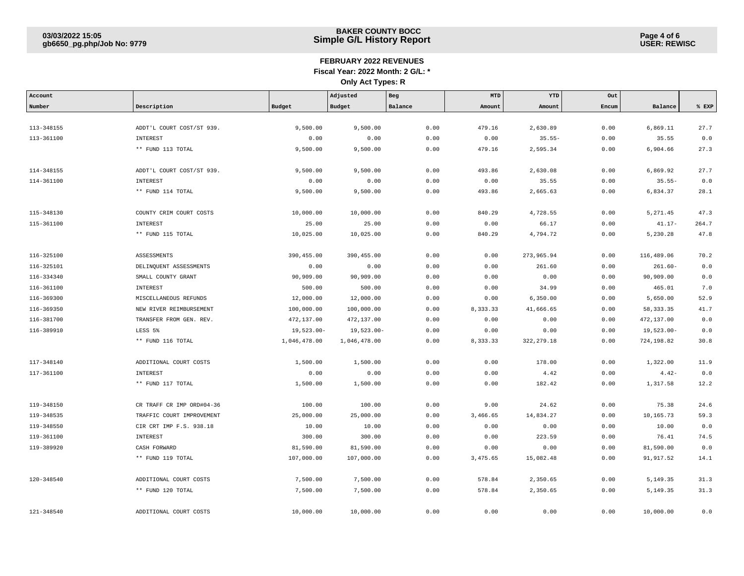| Account    |                           |               | Adjusted      | Beg     | MTD      | YTD         | Out   |               |       |
|------------|---------------------------|---------------|---------------|---------|----------|-------------|-------|---------------|-------|
| Number     | Description               | Budget        | Budget        | Balance | Amount   | Amount      | Encum | Balance       | % EXP |
|            |                           |               |               |         |          |             |       |               |       |
| 113-348155 | ADDT'L COURT COST/ST 939. | 9,500.00      | 9,500.00      | 0.00    | 479.16   | 2,630.89    | 0.00  | 6,869.11      | 27.7  |
| 113-361100 | INTEREST                  | 0.00          | 0.00          | 0.00    | 0.00     | $35.55-$    | 0.00  | 35.55         | 0.0   |
|            | ** FUND 113 TOTAL         | 9,500.00      | 9,500.00      | 0.00    | 479.16   | 2,595.34    | 0.00  | 6,904.66      | 27.3  |
|            |                           |               |               |         |          |             |       |               |       |
| 114-348155 | ADDT'L COURT COST/ST 939. | 9,500.00      | 9,500.00      | 0.00    | 493.86   | 2,630.08    | 0.00  | 6,869.92      | 27.7  |
| 114-361100 | INTEREST                  | 0.00          | 0.00          | 0.00    | 0.00     | 35.55       | 0.00  | $35.55 -$     | 0.0   |
|            | ** FUND 114 TOTAL         | 9,500.00      | 9,500.00      | 0.00    | 493.86   | 2,665.63    | 0.00  | 6,834.37      | 28.1  |
|            |                           |               |               |         |          |             |       |               |       |
| 115-348130 | COUNTY CRIM COURT COSTS   | 10,000.00     | 10,000.00     | 0.00    | 840.29   | 4,728.55    | 0.00  | 5,271.45      | 47.3  |
| 115-361100 | INTEREST                  | 25.00         | 25.00         | 0.00    | 0.00     | 66.17       | 0.00  | $41.17-$      | 264.7 |
|            | ** FUND 115 TOTAL         | 10,025.00     | 10,025.00     | 0.00    | 840.29   | 4,794.72    | 0.00  | 5,230.28      | 47.8  |
|            |                           |               |               |         |          |             |       |               |       |
| 116-325100 | <b>ASSESSMENTS</b>        | 390, 455.00   | 390, 455.00   | 0.00    | 0.00     | 273,965.94  | 0.00  | 116,489.06    | 70.2  |
| 116-325101 | DELINQUENT ASSESSMENTS    | 0.00          | 0.00          | 0.00    | 0.00     | 261.60      | 0.00  | $261.60 -$    | 0.0   |
| 116-334340 | SMALL COUNTY GRANT        | 90,909.00     | 90,909.00     | 0.00    | 0.00     | 0.00        | 0.00  | 90,909.00     | 0.0   |
| 116-361100 | INTEREST                  | 500.00        | 500.00        | 0.00    | 0.00     | 34.99       | 0.00  | 465.01        | 7.0   |
| 116-369300 | MISCELLANEOUS REFUNDS     | 12,000.00     | 12,000.00     | 0.00    | 0.00     | 6,350.00    | 0.00  | 5,650.00      | 52.9  |
| 116-369350 | NEW RIVER REIMBURSEMENT   | 100,000.00    | 100,000.00    | 0.00    | 8,333.33 | 41,666.65   | 0.00  | 58, 333.35    | 41.7  |
| 116-381700 | TRANSFER FROM GEN. REV.   | 472,137.00    | 472,137.00    | 0.00    | 0.00     | 0.00        | 0.00  | 472,137.00    | 0.0   |
| 116-389910 | LESS 5%                   | $19,523.00 -$ | $19,523.00 -$ | 0.00    | 0.00     | 0.00        | 0.00  | $19,523.00 -$ | 0.0   |
|            | ** FUND 116 TOTAL         | 1,046,478.00  | 1,046,478.00  | 0.00    | 8,333.33 | 322, 279.18 | 0.00  | 724,198.82    | 30.8  |
|            |                           |               |               |         |          |             |       |               |       |
| 117-348140 | ADDITIONAL COURT COSTS    | 1,500.00      | 1,500.00      | 0.00    | 0.00     | 178.00      | 0.00  | 1,322.00      | 11.9  |
| 117-361100 | INTEREST                  | 0.00          | 0.00          | 0.00    | 0.00     | 4.42        | 0.00  | $4.42-$       | 0.0   |
|            | ** FUND 117 TOTAL         | 1,500.00      | 1,500.00      | 0.00    | 0.00     | 182.42      | 0.00  | 1,317.58      | 12.2  |
|            |                           |               |               |         |          |             |       |               |       |
| 119-348150 | CR TRAFF CR IMP ORD#04-36 | 100.00        | 100.00        | 0.00    | 9.00     | 24.62       | 0.00  | 75.38         | 24.6  |
| 119-348535 | TRAFFIC COURT IMPROVEMENT | 25,000.00     | 25,000.00     | 0.00    | 3,466.65 | 14,834.27   | 0.00  | 10,165.73     | 59.3  |
| 119-348550 | CIR CRT IMP F.S. 938.18   | 10.00         | 10.00         | 0.00    | 0.00     | 0.00        | 0.00  | 10.00         | 0.0   |
| 119-361100 | INTEREST                  | 300.00        | 300.00        | 0.00    | 0.00     | 223.59      | 0.00  | 76.41         | 74.5  |
| 119-389920 | CASH FORWARD              | 81,590.00     | 81,590.00     | 0.00    | 0.00     | 0.00        | 0.00  | 81,590.00     | 0.0   |
|            | ** FUND 119 TOTAL         | 107,000.00    | 107,000.00    | 0.00    | 3,475.65 | 15,082.48   | 0.00  | 91,917.52     | 14.1  |
|            |                           |               |               |         |          |             |       |               |       |
| 120-348540 | ADDITIONAL COURT COSTS    | 7,500.00      | 7,500.00      | 0.00    | 578.84   | 2,350.65    | 0.00  | 5,149.35      | 31.3  |
|            | ** FUND 120 TOTAL         | 7,500.00      | 7,500.00      | 0.00    | 578.84   | 2,350.65    | 0.00  | 5,149.35      | 31.3  |
|            |                           |               |               |         |          |             |       |               |       |
| 121-348540 | ADDITIONAL COURT COSTS    | 10,000.00     | 10,000.00     | 0.00    | 0.00     | 0.00        | 0.00  | 10,000.00     | 0.0   |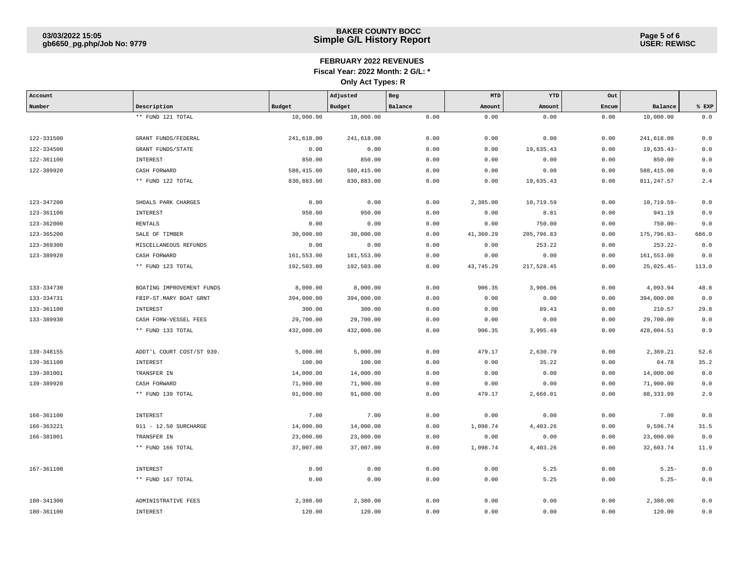| Account    |                           |            | Adjusted   | Beg     | MTD       | YTD        | Out   |               |       |
|------------|---------------------------|------------|------------|---------|-----------|------------|-------|---------------|-------|
| Number     | Description               | Budget     | Budget     | Balance | Amount    | Amount     | Encum | Balance       | EXP   |
|            | ** FUND 121 TOTAL         | 10,000.00  | 10,000.00  | 0.00    | 0.00      | 0.00       | 0.00  | 10,000.00     | 0.0   |
|            |                           |            |            |         |           |            |       |               |       |
| 122-331500 | GRANT FUNDS/FEDERAL       | 241,618.00 | 241,618.00 | 0.00    | 0.00      | 0.00       | 0.00  | 241,618.00    | 0.0   |
| 122-334500 | <b>GRANT FUNDS/STATE</b>  | 0.00       | 0.00       | 0.00    | 0.00      | 19,635.43  | 0.00  | $19,635.43-$  | 0.0   |
| 122-361100 | INTEREST                  | 850.00     | 850.00     | 0.00    | 0.00      | 0.00       | 0.00  | 850.00        | 0.0   |
| 122-389920 | CASH FORWARD              | 588,415.00 | 588,415.00 | 0.00    | 0.00      | 0.00       | 0.00  | 588,415.00    | 0.0   |
|            | ** FUND 122 TOTAL         | 830,883.00 | 830,883.00 | 0.00    | 0.00      | 19,635.43  | 0.00  | 811, 247.57   | 2.4   |
|            |                           |            |            |         |           |            |       |               |       |
| 123-347200 | SHOALS PARK CHARGES       | 0.00       | 0.00       | 0.00    | 2,385.00  | 10,719.59  | 0.00  | $10,719.59 -$ | 0.0   |
| 123-361100 | <b>INTEREST</b>           | 950.00     | 950.00     | 0.00    | 0.00      | 8.81       | 0.00  | 941.19        | 0.9   |
| 123-362000 | RENTALS                   | 0.00       | 0.00       | 0.00    | 0.00      | 750.00     | 0.00  | $750.00 -$    | 0.0   |
| 123-365200 | SALE OF TIMBER            | 30,000.00  | 30,000.00  | 0.00    | 41,360.29 | 205,796.83 | 0.00  | 175,796.83-   | 686.0 |
| 123-369300 | MISCELLANEOUS REFUNDS     | 0.00       | 0.00       | 0.00    | 0.00      | 253.22     | 0.00  | $253.22 -$    | 0.0   |
| 123-389920 | CASH FORWARD              | 161,553.00 | 161,553.00 | 0.00    | 0.00      | 0.00       | 0.00  | 161,553.00    | 0.0   |
|            | ** FUND 123 TOTAL         | 192,503.00 | 192,503.00 | 0.00    | 43,745.29 | 217,528.45 | 0.00  | $25,025.45-$  | 113.0 |
|            |                           |            |            |         |           |            |       |               |       |
| 133-334730 | BOATING IMPROVEMENT FUNDS | 8,000.00   | 8,000.00   | 0.00    | 906.35    | 3,906.06   | 0.00  | 4,093.94      | 48.8  |
| 133-334731 | FBIP-ST.MARY BOAT GRNT    | 394,000.00 | 394,000.00 | 0.00    | 0.00      | 0.00       | 0.00  | 394,000.00    | 0.0   |
| 133-361100 | <b>INTEREST</b>           | 300.00     | 300.00     | 0.00    | 0.00      | 89.43      | 0.00  | 210.57        | 29.8  |
| 133-389930 | CASH FORW-VESSEL FEES     | 29,700.00  | 29,700.00  | 0.00    | 0.00      | 0.00       | 0.00  | 29,700.00     | 0.0   |
|            | ** FUND 133 TOTAL         | 432,000.00 | 432,000.00 | 0.00    | 906.35    | 3,995.49   | 0.00  | 428,004.51    | 0.9   |
|            |                           |            |            |         |           |            |       |               |       |
| 139-348155 | ADDT'L COURT COST/ST 939. | 5,000.00   | 5,000.00   | 0.00    | 479.17    | 2,630.79   | 0.00  | 2,369.21      | 52.6  |
| 139-361100 | <b>INTEREST</b>           | 100.00     | 100.00     | 0.00    | 0.00      | 35.22      | 0.00  | 64.78         | 35.2  |
| 139-381001 | TRANSFER IN               | 14,000.00  | 14,000.00  | 0.00    | 0.00      | 0.00       | 0.00  | 14,000.00     | 0.0   |
| 139-389920 | CASH FORWARD              | 71,900.00  | 71,900.00  | 0.00    | 0.00      | 0.00       | 0.00  | 71,900.00     | 0.0   |
|            | ** FUND 139 TOTAL         | 91,000.00  | 91,000.00  | 0.00    | 479.17    | 2,666.01   | 0.00  | 88, 333.99    | 2.9   |
|            |                           |            |            |         |           |            |       |               |       |
| 166-361100 | <b>INTEREST</b>           | 7.00       | 7.00       | 0.00    | 0.00      | 0.00       | 0.00  | 7.00          | 0.0   |
| 166-363221 | 911 - 12.50 SURCHARGE     | 14,000.00  | 14,000.00  | 0.00    | 1,098.74  | 4,403.26   | 0.00  | 9,596.74      | 31.5  |
| 166-381001 | TRANSFER IN               | 23,000.00  | 23,000.00  | 0.00    | 0.00      | 0.00       | 0.00  | 23,000.00     | 0.0   |
|            | ** FUND 166 TOTAL         | 37,007.00  | 37,007.00  | 0.00    | 1,098.74  | 4,403.26   | 0.00  | 32,603.74     | 11.9  |
|            |                           |            |            |         |           |            |       |               |       |
| 167-361100 | <b>INTEREST</b>           | 0.00       | 0.00       | 0.00    | 0.00      | 5.25       | 0.00  | $5.25 -$      | 0.0   |
|            | ** FUND 167 TOTAL         | 0.00       | 0.00       | 0.00    | 0.00      | 5.25       | 0.00  | $5.25 -$      | 0.0   |
|            |                           |            |            |         |           |            |       |               |       |
| 180-341300 | ADMINISTRATIVE FEES       | 2,380.00   | 2,380.00   | 0.00    | 0.00      | 0.00       | 0.00  | 2,380.00      | 0.0   |
| 180-361100 | <b>INTEREST</b>           | 120.00     | 120.00     | 0.00    | 0.00      | 0.00       | 0.00  | 120.00        | 0.0   |